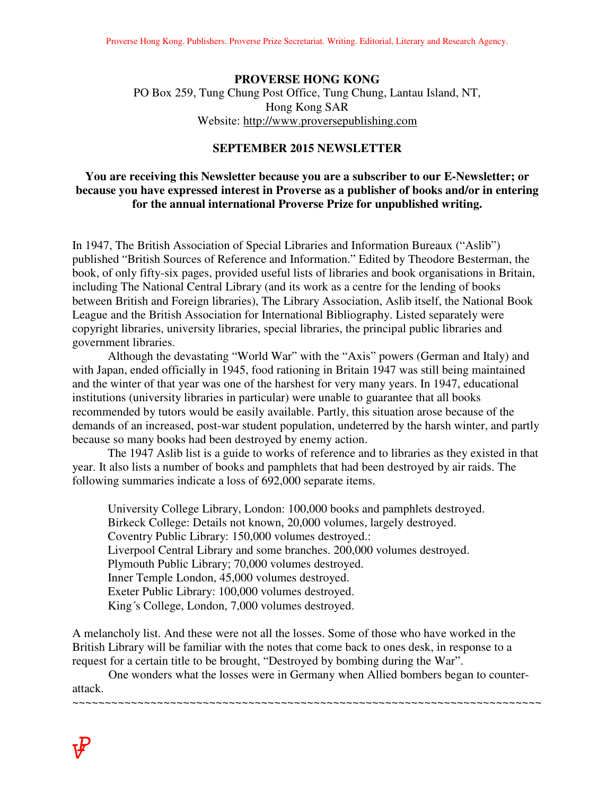#### **PROVERSE HONG KONG**

PO Box 259, Tung Chung Post Office, Tung Chung, Lantau Island, NT, Hong Kong SAR Website: http://www.proversepublishing.com

# **SEPTEMBER 2015 NEWSLETTER**

#### **You are receiving this Newsletter because you are a subscriber to our E-Newsletter; or because you have expressed interest in Proverse as a publisher of books and/or in entering for the annual international Proverse Prize for unpublished writing.**

In 1947, The British Association of Special Libraries and Information Bureaux ("Aslib") published "British Sources of Reference and Information." Edited by Theodore Besterman, the book, of only fifty-six pages, provided useful lists of libraries and book organisations in Britain, including The National Central Library (and its work as a centre for the lending of books between British and Foreign libraries), The Library Association, Aslib itself, the National Book League and the British Association for International Bibliography. Listed separately were copyright libraries, university libraries, special libraries, the principal public libraries and government libraries.

Although the devastating "World War" with the "Axis" powers (German and Italy) and with Japan, ended officially in 1945, food rationing in Britain 1947 was still being maintained and the winter of that year was one of the harshest for very many years. In 1947, educational institutions (university libraries in particular) were unable to guarantee that all books recommended by tutors would be easily available. Partly, this situation arose because of the demands of an increased, post-war student population, undeterred by the harsh winter, and partly because so many books had been destroyed by enemy action.

The 1947 Aslib list is a guide to works of reference and to libraries as they existed in that year. It also lists a number of books and pamphlets that had been destroyed by air raids. The following summaries indicate a loss of 692,000 separate items.

University College Library, London: 100,000 books and pamphlets destroyed. Birkeck College: Details not known, 20,000 volumes, largely destroyed. Coventry Public Library: 150,000 volumes destroyed.: Liverpool Central Library and some branches. 200,000 volumes destroyed. Plymouth Public Library; 70,000 volumes destroyed. Inner Temple London, 45,000 volumes destroyed. Exeter Public Library: 100,000 volumes destroyed. King´s College, London, 7,000 volumes destroyed.

A melancholy list. And these were not all the losses. Some of those who have worked in the British Library will be familiar with the notes that come back to ones desk, in response to a request for a certain title to be brought, "Destroyed by bombing during the War".

 One wonders what the losses were in Germany when Allied bombers began to counterattack.

~~~~~~~~~~~~~~~~~~~~~~~~~~~~~~~~~~~~~~~~~~~~~~~~~~~~~~~~~~~~~~~~~~~~~~~~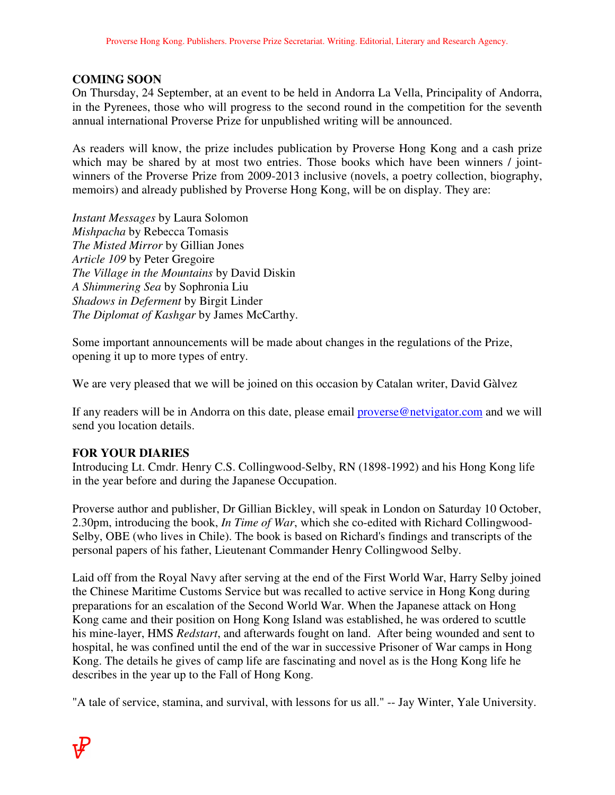# **COMING SOON**

On Thursday, 24 September, at an event to be held in Andorra La Vella, Principality of Andorra, in the Pyrenees, those who will progress to the second round in the competition for the seventh annual international Proverse Prize for unpublished writing will be announced.

As readers will know, the prize includes publication by Proverse Hong Kong and a cash prize which may be shared by at most two entries. Those books which have been winners / jointwinners of the Proverse Prize from 2009-2013 inclusive (novels, a poetry collection, biography, memoirs) and already published by Proverse Hong Kong, will be on display. They are:

*Instant Messages* by Laura Solomon *Mishpacha* by Rebecca Tomasis *The Misted Mirror* by Gillian Jones *Article 109* by Peter Gregoire *The Village in the Mountains* by David Diskin *A Shimmering Sea* by Sophronia Liu *Shadows in Deferment* by Birgit Linder *The Diplomat of Kashgar* by James McCarthy.

Some important announcements will be made about changes in the regulations of the Prize, opening it up to more types of entry.

We are very pleased that we will be joined on this occasion by Catalan writer, David Gàlvez

If any readers will be in Andorra on this date, please email **proverse@netvigator.com** and we will send you location details.

### **FOR YOUR DIARIES**

Introducing Lt. Cmdr. Henry C.S. Collingwood-Selby, RN (1898-1992) and his Hong Kong life in the year before and during the Japanese Occupation.

Proverse author and publisher, Dr Gillian Bickley, will speak in London on Saturday 10 October, 2.30pm, introducing the book, *In Time of War*, which she co-edited with Richard Collingwood-Selby, OBE (who lives in Chile). The book is based on Richard's findings and transcripts of the personal papers of his father, Lieutenant Commander Henry Collingwood Selby.

Laid off from the Royal Navy after serving at the end of the First World War, Harry Selby joined the Chinese Maritime Customs Service but was recalled to active service in Hong Kong during preparations for an escalation of the Second World War. When the Japanese attack on Hong Kong came and their position on Hong Kong Island was established, he was ordered to scuttle his mine-layer, HMS *Redstart*, and afterwards fought on land. After being wounded and sent to hospital, he was confined until the end of the war in successive Prisoner of War camps in Hong Kong. The details he gives of camp life are fascinating and novel as is the Hong Kong life he describes in the year up to the Fall of Hong Kong.

"A tale of service, stamina, and survival, with lessons for us all." -- Jay Winter, Yale University.